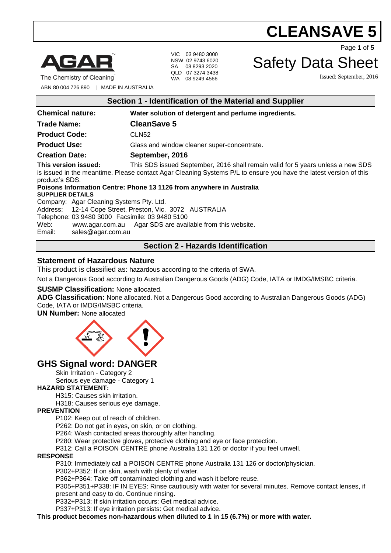

The Chemistry of Cleaning

VIC 03 9480 3000 NSW 02 9743 6020 SA 08 8293 2020 QLD 07 3274 3438 WA 08 9249 4566

Safety Data Sheet

**CLEANSAVE 5**

Issued: September, 2016

Page **1** of **5**

ABN 80 004 726 890 | MADE IN AUSTRALIA

| Section 1 - Identification of the Material and Supplier                                                                                                                                                                                                                                                                                                                                       |                                                      |  |
|-----------------------------------------------------------------------------------------------------------------------------------------------------------------------------------------------------------------------------------------------------------------------------------------------------------------------------------------------------------------------------------------------|------------------------------------------------------|--|
| <b>Chemical nature:</b>                                                                                                                                                                                                                                                                                                                                                                       | Water solution of detergent and perfume ingredients. |  |
| Trade Name:                                                                                                                                                                                                                                                                                                                                                                                   | <b>CleanSave 5</b>                                   |  |
| <b>Product Code:</b>                                                                                                                                                                                                                                                                                                                                                                          | CLN <sub>52</sub>                                    |  |
| <b>Product Use:</b>                                                                                                                                                                                                                                                                                                                                                                           | Glass and window cleaner super-concentrate.          |  |
| <b>Creation Date:</b>                                                                                                                                                                                                                                                                                                                                                                         | September, 2016                                      |  |
| This version issued:<br>This SDS issued September, 2016 shall remain valid for 5 years unless a new SDS<br>is issued in the meantime. Please contact Agar Cleaning Systems P/L to ensure you have the latest version of this<br>product's SDS.<br>Poisons Information Centre: Phone 13 1126 from anywhere in Australia<br><b>SUPPLIER DETAILS</b><br>Company: Agar Cleaning Systems Pty. Ltd. |                                                      |  |
| Address: 12-14 Cope Street, Preston, Vic. 3072 AUSTRALIA<br>Telephone: 03 9480 3000 Facsimile: 03 9480 5100<br>Web:<br>www.agar.com.au Agar SDS are available from this website.<br>Email:<br>sales@agar.com.au                                                                                                                                                                               |                                                      |  |
| <b>Section 2 - Hazards Identification</b>                                                                                                                                                                                                                                                                                                                                                     |                                                      |  |

### **Statement of Hazardous Nature**

This product is classified as: hazardous according to the criteria of SWA.

Not a Dangerous Good according to Australian Dangerous Goods (ADG) Code, IATA or IMDG/IMSBC criteria.

#### **SUSMP Classification:** None allocated.

**ADG Classification:** None allocated. Not a Dangerous Good according to Australian Dangerous Goods (ADG) Code, IATA or IMDG/IMSBC criteria.

**UN Number:** None allocated



# **GHS Signal word: DANGER**

Skin Irritation - Category 2

Serious eye damage - Category 1

#### **HAZARD STATEMENT:**

H315: Causes skin irritation.

H318: Causes serious eye damage.

#### **PREVENTION**

P102: Keep out of reach of children.

P262: Do not get in eyes, on skin, or on clothing.

P264: Wash contacted areas thoroughly after handling.

P280: Wear protective gloves, protective clothing and eye or face protection.

P312: Call a POISON CENTRE phone Australia 131 126 or doctor if you feel unwell.

#### **RESPONSE**

P310: Immediately call a POISON CENTRE phone Australia 131 126 or doctor/physician.

P302+P352: If on skin, wash with plenty of water.

P362+P364: Take off contaminated clothing and wash it before reuse.

P305+P351+P338: IF IN EYES: Rinse cautiously with water for several minutes. Remove contact lenses, if present and easy to do. Continue rinsing.

P332+P313: If skin irritation occurs: Get medical advice.

P337+P313: If eye irritation persists: Get medical advice.

**This product becomes non-hazardous when diluted to 1 in 15 (6.7%) or more with water.**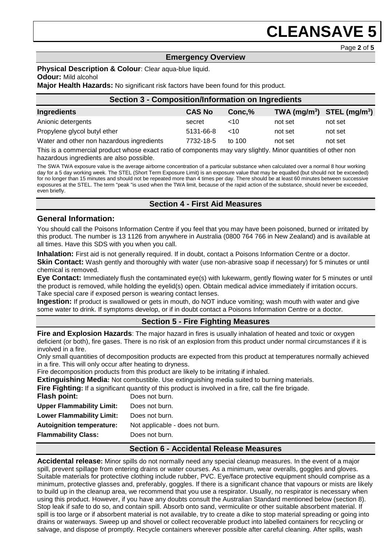#### Page **2** of **5**

### **Emergency Overview**

**Physical Description & Colour**: Clear aqua-blue liquid. **Odour:** Mild alcohol

**Major Health Hazards:** No significant risk factors have been found for this product.

| <b>Section 3 - Composition/Information on Ingredients</b> |               |          |         |                                |  |
|-----------------------------------------------------------|---------------|----------|---------|--------------------------------|--|
| Ingredients                                               | <b>CAS No</b> | Conc.%   |         | TWA $(mg/m^3)$ STEL $(mg/m^3)$ |  |
| Anionic detergents                                        | secret        | ~10      | not set | not set                        |  |
| Propylene glycol butyl ether                              | 5131-66-8     | ~10      | not set | not set                        |  |
| Water and other non hazardous ingredients                 | 7732-18-5     | to $100$ | not set | not set                        |  |

This is a commercial product whose exact ratio of components may vary slightly. Minor quantities of other non hazardous ingredients are also possible.

The SWA TWA exposure value is the average airborne concentration of a particular substance when calculated over a normal 8 hour working day for a 5 day working week. The STEL (Short Term Exposure Limit) is an exposure value that may be equalled (but should not be exceeded) for no longer than 15 minutes and should not be repeated more than 4 times per day. There should be at least 60 minutes between successive exposures at the STEL. The term "peak "is used when the TWA limit, because of the rapid action of the substance, should never be exceeded, even briefly.

#### **Section 4 - First Aid Measures**

### **General Information:**

You should call the Poisons Information Centre if you feel that you may have been poisoned, burned or irritated by this product. The number is 13 1126 from anywhere in Australia (0800 764 766 in New Zealand) and is available at all times. Have this SDS with you when you call.

**Inhalation:** First aid is not generally required. If in doubt, contact a Poisons Information Centre or a doctor. **Skin Contact:** Wash gently and thoroughly with water (use non-abrasive soap if necessary) for 5 minutes or until chemical is removed.

**Eye Contact:** Immediately flush the contaminated eye(s) with lukewarm, gently flowing water for 5 minutes or until the product is removed, while holding the eyelid(s) open. Obtain medical advice immediately if irritation occurs. Take special care if exposed person is wearing contact lenses.

**Ingestion:** If product is swallowed or gets in mouth, do NOT induce vomiting; wash mouth with water and give some water to drink. If symptoms develop, or if in doubt contact a Poisons Information Centre or a doctor.

# **Section 5 - Fire Fighting Measures**

**Fire and Explosion Hazards**: The major hazard in fires is usually inhalation of heated and toxic or oxygen deficient (or both), fire gases. There is no risk of an explosion from this product under normal circumstances if it is involved in a fire.

Only small quantities of decomposition products are expected from this product at temperatures normally achieved in a fire. This will only occur after heating to dryness.

Fire decomposition products from this product are likely to be irritating if inhaled.

**Extinguishing Media:** Not combustible. Use extinguishing media suited to burning materials.

**Fire Fighting:** If a significant quantity of this product is involved in a fire, call the fire brigade.

| <b>Flash point:</b>              | Does not burn.                  |
|----------------------------------|---------------------------------|
| <b>Upper Flammability Limit:</b> | Does not burn.                  |
| <b>Lower Flammability Limit:</b> | Does not burn.                  |
| <b>Autoignition temperature:</b> | Not applicable - does not burn. |
| <b>Flammability Class:</b>       | Does not burn.                  |
|                                  |                                 |

# **Section 6 - Accidental Release Measures**

**Accidental release:** Minor spills do not normally need any special cleanup measures. In the event of a major spill, prevent spillage from entering drains or water courses. As a minimum, wear overalls, goggles and gloves. Suitable materials for protective clothing include rubber, PVC. Eye/face protective equipment should comprise as a minimum, protective glasses and, preferably, goggles. If there is a significant chance that vapours or mists are likely to build up in the cleanup area, we recommend that you use a respirator. Usually, no respirator is necessary when using this product. However, if you have any doubts consult the Australian Standard mentioned below (section 8). Stop leak if safe to do so, and contain spill. Absorb onto sand, vermiculite or other suitable absorbent material. If spill is too large or if absorbent material is not available, try to create a dike to stop material spreading or going into drains or waterways. Sweep up and shovel or collect recoverable product into labelled containers for recycling or salvage, and dispose of promptly. Recycle containers wherever possible after careful cleaning. After spills, wash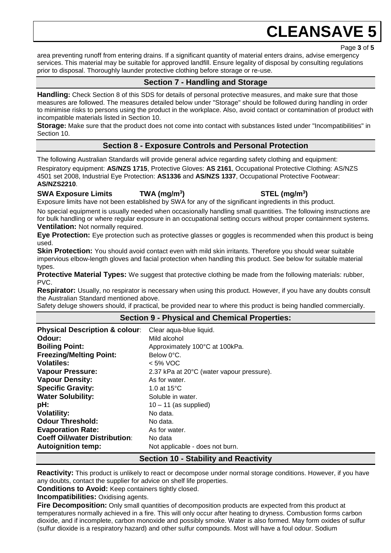Page **3** of **5**

area preventing runoff from entering drains. If a significant quantity of material enters drains, advise emergency services. This material may be suitable for approved landfill. Ensure legality of disposal by consulting regulations prior to disposal. Thoroughly launder protective clothing before storage or re-use.

# **Section 7 - Handling and Storage**

**Handling:** Check Section 8 of this SDS for details of personal protective measures, and make sure that those measures are followed. The measures detailed below under "Storage" should be followed during handling in order to minimise risks to persons using the product in the workplace. Also, avoid contact or contamination of product with incompatible materials listed in Section 10.

**Storage:** Make sure that the product does not come into contact with substances listed under "Incompatibilities" in Section 10.

# **Section 8 - Exposure Controls and Personal Protection**

The following Australian Standards will provide general advice regarding safety clothing and equipment:

Respiratory equipment: **AS/NZS 1715**, Protective Gloves: **AS 2161**, Occupational Protective Clothing: AS/NZS 4501 set 2008, Industrial Eye Protection: **AS1336** and **AS/NZS 1337**, Occupational Protective Footwear: **AS/NZS2210**.

**SWA Exposure Limits TWA (mg/m<sup>3</sup>**

**) STEL (mg/m<sup>3</sup> )**

Exposure limits have not been established by SWA for any of the significant ingredients in this product.

No special equipment is usually needed when occasionally handling small quantities. The following instructions are for bulk handling or where regular exposure in an occupational setting occurs without proper containment systems. **Ventilation:** Not normally required.

**Eye Protection:** Eye protection such as protective glasses or goggles is recommended when this product is being used.

**Skin Protection:** You should avoid contact even with mild skin irritants. Therefore you should wear suitable impervious elbow-length gloves and facial protection when handling this product. See below for suitable material types.

**Protective Material Types:** We suggest that protective clothing be made from the following materials: rubber, PVC.

**Respirator:** Usually, no respirator is necessary when using this product. However, if you have any doubts consult the Australian Standard mentioned above.

Safety deluge showers should, if practical, be provided near to where this product is being handled commercially.

# **Section 9 - Physical and Chemical Properties:**

| <b>Physical Description &amp; colour:</b> | Clear aqua-blue liquid.                   |
|-------------------------------------------|-------------------------------------------|
| Odour:                                    | Mild alcohol                              |
| <b>Boiling Point:</b>                     | Approximately 100°C at 100kPa.            |
| <b>Freezing/Melting Point:</b>            | Below 0°C.                                |
| <b>Volatiles:</b>                         | $< 5\%$ VOC                               |
| <b>Vapour Pressure:</b>                   | 2.37 kPa at 20°C (water vapour pressure). |
| <b>Vapour Density:</b>                    | As for water.                             |
| <b>Specific Gravity:</b>                  | 1.0 at $15^{\circ}$ C                     |
| <b>Water Solubility:</b>                  | Soluble in water.                         |
| pH:                                       | $10 - 11$ (as supplied)                   |
| <b>Volatility:</b>                        | No data.                                  |
| <b>Odour Threshold:</b>                   | No data.                                  |
| <b>Evaporation Rate:</b>                  | As for water.                             |
| <b>Coeff Oil/water Distribution:</b>      | No data                                   |
| <b>Autoignition temp:</b>                 | Not applicable - does not burn.           |

# **Section 10 - Stability and Reactivity**

**Reactivity:** This product is unlikely to react or decompose under normal storage conditions. However, if you have any doubts, contact the supplier for advice on shelf life properties.

**Conditions to Avoid:** Keep containers tightly closed.

**Incompatibilities:** Oxidising agents.

**Fire Decomposition:** Only small quantities of decomposition products are expected from this product at temperatures normally achieved in a fire. This will only occur after heating to dryness. Combustion forms carbon dioxide, and if incomplete, carbon monoxide and possibly smoke. Water is also formed. May form oxides of sulfur (sulfur dioxide is a respiratory hazard) and other sulfur compounds. Most will have a foul odour. Sodium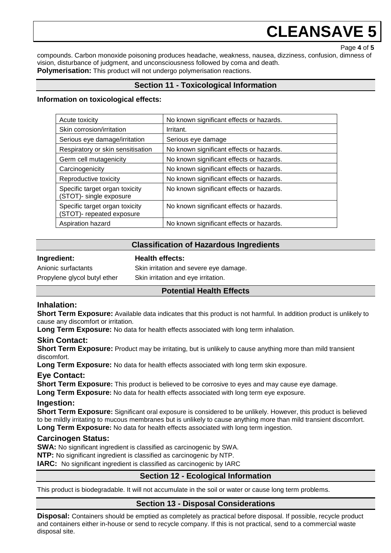Page **4** of **5**

compounds. Carbon monoxide poisoning produces headache, weakness, nausea, dizziness, confusion, dimness of vision, disturbance of judgment, and unconsciousness followed by coma and death. **Polymerisation:** This product will not undergo polymerisation reactions.

# **Section 11 - Toxicological Information**

#### **Information on toxicological effects:**

| Acute toxicity                                                    | No known significant effects or hazards. |
|-------------------------------------------------------------------|------------------------------------------|
| Skin corrosion/irritation                                         | Irritant.                                |
| Serious eye damage/irritation                                     | Serious eye damage                       |
| Respiratory or skin sensitisation                                 | No known significant effects or hazards. |
| Germ cell mutagenicity                                            | No known significant effects or hazards. |
| Carcinogenicity                                                   | No known significant effects or hazards. |
| Reproductive toxicity                                             | No known significant effects or hazards. |
| Specific target organ toxicity<br><b>STOT)-</b> single exposure   | No known significant effects or hazards. |
| Specific target organ toxicity<br><b>STOT)-</b> repeated exposure | No known significant effects or hazards. |
| Aspiration hazard                                                 | No known significant effects or hazards. |

# **Classification of Hazardous Ingredients**

#### **Ingredient: Health effects:**

Anionic surfactants Skin irritation and severe eye damage. Propylene glycol butyl ether Skin irritation and eye irritation.

# **Potential Health Effects**

# **Inhalation:**

**Short Term Exposure:** Available data indicates that this product is not harmful. In addition product is unlikely to cause any discomfort or irritation.

**Long Term Exposure:** No data for health effects associated with long term inhalation.

# **Skin Contact:**

**Short Term Exposure:** Product may be irritating, but is unlikely to cause anything more than mild transient discomfort.

**Long Term Exposure:** No data for health effects associated with long term skin exposure.

# **Eye Contact:**

**Short Term Exposure:** This product is believed to be corrosive to eyes and may cause eye damage.

**Long Term Exposure:** No data for health effects associated with long term eye exposure.

#### **Ingestion:**

**Short Term Exposure:** Significant oral exposure is considered to be unlikely. However, this product is believed to be mildly irritating to mucous membranes but is unlikely to cause anything more than mild transient discomfort. **Long Term Exposure:** No data for health effects associated with long term ingestion.

# **Carcinogen Status:**

**SWA:** No significant ingredient is classified as carcinogenic by SWA. **NTP:** No significant ingredient is classified as carcinogenic by NTP.

**IARC:** No significant ingredient is classified as carcinogenic by IARC

# **Section 12 - Ecological Information**

This product is biodegradable. It will not accumulate in the soil or water or cause long term problems.

# **Section 13 - Disposal Considerations**

**Disposal:** Containers should be emptied as completely as practical before disposal. If possible, recycle product and containers either in-house or send to recycle company. If this is not practical, send to a commercial waste disposal site.